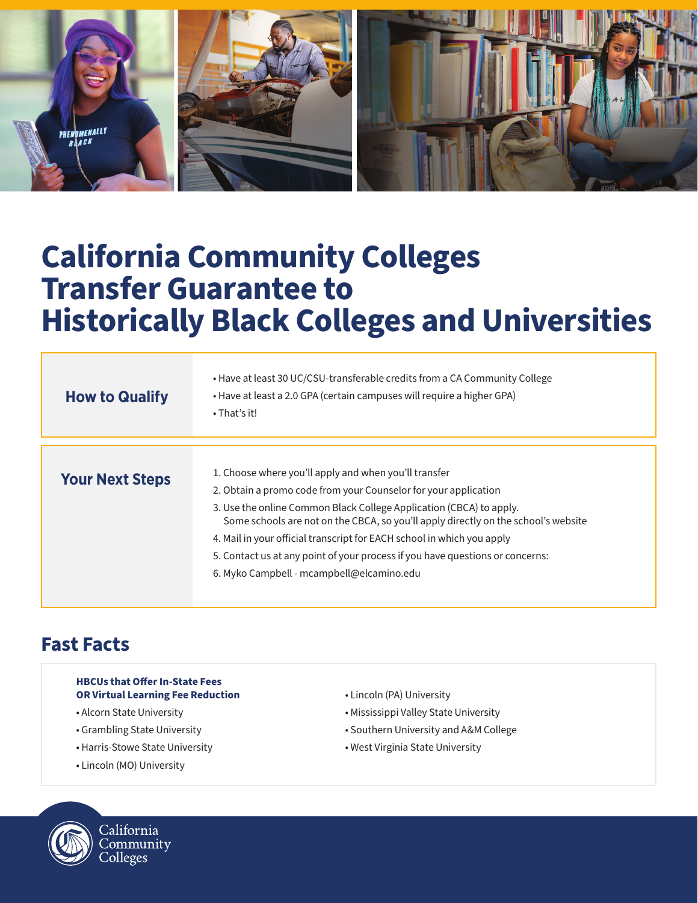

# **California Community Colleges Transfer Guarantee to Historically Black Colleges and Universities**

| <b>How to Qualify</b>  | • Have at least 30 UC/CSU-transferable credits from a CA Community College<br>• Have at least a 2.0 GPA (certain campuses will require a higher GPA)<br>$\cdot$ That's it! |
|------------------------|----------------------------------------------------------------------------------------------------------------------------------------------------------------------------|
|                        |                                                                                                                                                                            |
| <b>Your Next Steps</b> | 1. Choose where you'll apply and when you'll transfer                                                                                                                      |
|                        | 2. Obtain a promo code from your Counselor for your application                                                                                                            |
|                        | 3. Use the online Common Black College Application (CBCA) to apply.<br>Some schools are not on the CBCA, so you'll apply directly on the school's website                  |
|                        | 4. Mail in your official transcript for EACH school in which you apply                                                                                                     |
|                        | 5. Contact us at any point of your process if you have questions or concerns:                                                                                              |
|                        | 6. Myko Campbell - mcampbell@elcamino.edu                                                                                                                                  |
|                        |                                                                                                                                                                            |

### **Fast Facts**

#### **HBCUs that Offer In-State Fees OR Virtual Learning Fee Reduction**

- Alcorn State University
- Grambling State University
- Harris-Stowe State University
- Lincoln (MO) University
- Lincoln (PA) University
- Mississippi Valley State University
- Southern University and A&M College
- West Virginia State University